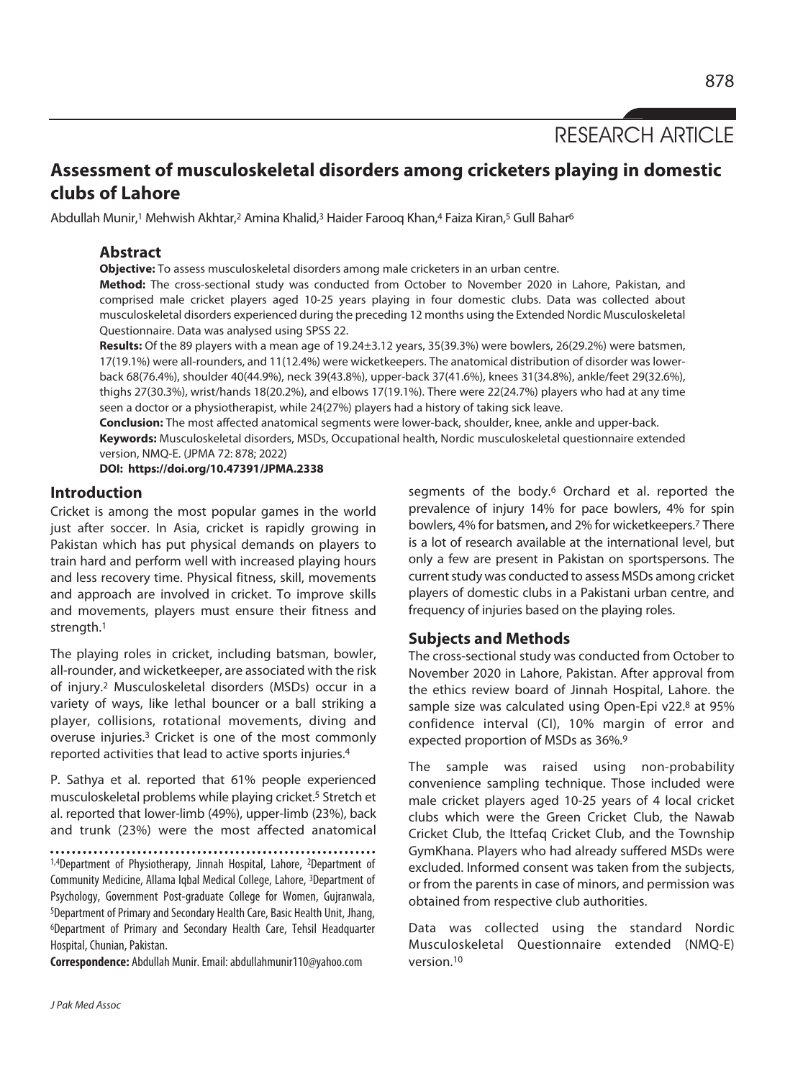RESEARCH ARTICLE

# **Assessment of musculoskeletal disorders among cricketers playing in domestic clubs of Lahore**

Abdullah Munir,<sup>1</sup> Mehwish Akhtar,<sup>2</sup> Amina Khalid,<sup>3</sup> Haider Farooq Khan,4 Faiza Kiran,<sup>5</sup> Gull Bahar<sup>6</sup>

# **Abstract**

**Objective:** To assess musculoskeletal disorders among male cricketers in an urban centre.

**Method:** The cross-sectional study was conducted from October to November 2020 in Lahore, Pakistan, and comprised male cricket players aged 10-25 years playing in four domestic clubs. Data was collected about musculoskeletal disorders experienced during the preceding 12 months using the Extended Nordic Musculoskeletal Questionnaire. Data was analysed using SPSS 22.

**Results:** Of the 89 players with a mean age of 19.24±3.12 years, 35(39.3%) were bowlers, 26(29.2%) were batsmen, 17(19.1%) were all-rounders, and 11(12.4%) were wicketkeepers. The anatomical distribution of disorder was lowerback 68(76.4%), shoulder 40(44.9%), neck 39(43.8%), upper-back 37(41.6%), knees 31(34.8%), ankle/feet 29(32.6%), thighs 27(30.3%), wrist/hands 18(20.2%), and elbows 17(19.1%). There were 22(24.7%) players who had at any time seen a doctor or a physiotherapist, while 24(27%) players had a history of taking sick leave.

**Conclusion:** The most affected anatomical segments were lower-back, shoulder, knee, ankle and upper-back. **Keywords:** Musculoskeletal disorders, MSDs, Occupational health, Nordic musculoskeletal questionnaire extended version, NMQ-E. (JPMA 72: 878; 2022)

**DOI: https://doi.org/10.47391/JPMA.2338** 

## **Introduction**

Cricket is among the most popular games in the world just after soccer. In Asia, cricket is rapidly growing in Pakistan which has put physical demands on players to train hard and perform well with increased playing hours and less recovery time. Physical fitness, skill, movements and approach are involved in cricket. To improve skills and movements, players must ensure their fitness and strength.1

The playing roles in cricket, including batsman, bowler, all-rounder, and wicketkeeper, are associated with the risk of injury.2 Musculoskeletal disorders (MSDs) occur in a variety of ways, like lethal bouncer or a ball striking a player, collisions, rotational movements, diving and overuse injuries.3 Cricket is one of the most commonly reported activities that lead to active sports injuries.4

P. Sathya et al. reported that 61% people experienced musculoskeletal problems while playing cricket.5 Stretch et al. reported that lower-limb (49%), upper-limb (23%), back and trunk (23%) were the most affected anatomical

1,4Department of Physiotherapy, Jinnah Hospital, Lahore, <sup>2</sup>Department of Community Medicine, Allama Iqbal Medical College, Lahore, 3Department of Psychology, Government Post-graduate College for Women, Gujranwala, 5Department of Primary and Secondary Health Care, Basic Health Unit, Jhang, 6Department of Primary and Secondary Health Care, Tehsil Headquarter Hospital, Chunian, Pakistan.

**Correspondence:** Abdullah Munir. Email: abdullahmunir110@yahoo.com

segments of the body.<sup>6</sup> Orchard et al. reported the prevalence of injury 14% for pace bowlers, 4% for spin bowlers, 4% for batsmen, and 2% for wicketkeepers.7 There is a lot of research available at the international level, but only a few are present in Pakistan on sportspersons. The current study was conducted to assess MSDs among cricket players of domestic clubs in a Pakistani urban centre, and frequency of injuries based on the playing roles.

# **Subjects and Methods**

The cross-sectional study was conducted from October to November 2020 in Lahore, Pakistan. After approval from the ethics review board of Jinnah Hospital, Lahore. the sample size was calculated using Open-Epi v22.8 at 95% confidence interval (CI), 10% margin of error and expected proportion of MSDs as 36%.9

The sample was raised using non-probability convenience sampling technique. Those included were male cricket players aged 10-25 years of 4 local cricket clubs which were the Green Cricket Club, the Nawab Cricket Club, the Ittefaq Cricket Club, and the Township GymKhana. Players who had already suffered MSDs were excluded. Informed consent was taken from the subjects, or from the parents in case of minors, and permission was obtained from respective club authorities.

Data was collected using the standard Nordic Musculoskeletal Questionnaire extended (NMQ-E) version.10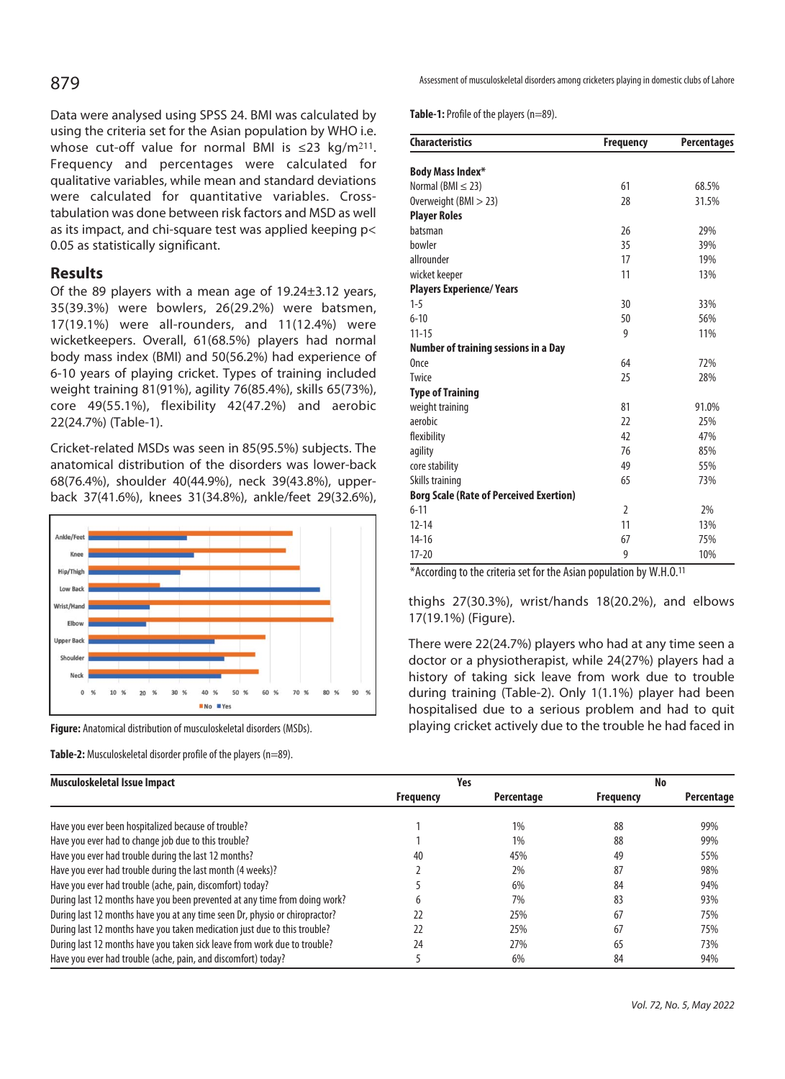Data were analysed using SPSS 24. BMI was calculated by using the criteria set for the Asian population by WHO i.e. whose cut-off value for normal BMI is  $\leq 23$  kg/m<sup>211</sup>. Frequency and percentages were calculated for qualitative variables, while mean and standard deviations were calculated for quantitative variables. Crosstabulation was done between risk factors and MSD as well as its impact, and chi-square test was applied keeping p< 0.05 as statistically significant.

# **Results**

Of the 89 players with a mean age of 19.24±3.12 years, 35(39.3%) were bowlers, 26(29.2%) were batsmen, 17(19.1%) were all-rounders, and 11(12.4%) were wicketkeepers. Overall, 61(68.5%) players had normal body mass index (BMI) and 50(56.2%) had experience of 6-10 years of playing cricket. Types of training included weight training 81(91%), agility 76(85.4%), skills 65(73%), core 49(55.1%), flexibility 42(47.2%) and aerobic 22(24.7%) (Table-1).

Cricket-related MSDs was seen in 85(95.5%) subjects. The anatomical distribution of the disorders was lower-back 68(76.4%), shoulder 40(44.9%), neck 39(43.8%), upperback 37(41.6%), knees 31(34.8%), ankle/feet 29(32.6%),



**Figure:** Anatomical distribution of musculoskeletal disorders (MSDs).

**Table-2:** Musculoskeletal disorder profile of the players (n=89).

Assessment of musculoskeletal disorders among cricketers playing in domestic clubs of Lahore

**Table-1:** Profile of the players (n=89).

| <b>Characteristics</b>                         | <b>Frequency</b> | <b>Percentages</b> |
|------------------------------------------------|------------------|--------------------|
| <b>Body Mass Index*</b>                        |                  |                    |
| Normal (BMI $\leq$ 23)                         | 61               | 68.5%              |
| Overweight (BMI > 23)                          | 28               | 31.5%              |
| <b>Player Roles</b>                            |                  |                    |
| batsman                                        | 26               | 29%                |
| bowler                                         | 35               | 39%                |
| allrounder                                     | 17               | 19%                |
| wicket keeper                                  | 11               | 13%                |
| <b>Players Experience/ Years</b>               |                  |                    |
| $1 - 5$                                        | 30               | 33%                |
| $6 - 10$                                       | 50               | 56%                |
| $11 - 15$                                      | 9                | 11%                |
| <b>Number of training sessions in a Day</b>    |                  |                    |
| Once                                           | 64               | 72%                |
| Twice                                          | 25               | 28%                |
| <b>Type of Training</b>                        |                  |                    |
| weight training                                | 81               | 91.0%              |
| aerobic                                        | 22               | 25%                |
| flexibility                                    | 42               | 47%                |
| agility                                        | 76               | 85%                |
| core stability                                 | 49               | 55%                |
| Skills training                                | 65               | 73%                |
| <b>Borg Scale (Rate of Perceived Exertion)</b> |                  |                    |
| $6 - 11$                                       | $\overline{2}$   | 2%                 |
| $12 - 14$                                      | 11               | 13%                |
| $14 - 16$                                      | 67               | 75%                |
| $17 - 20$                                      | 9                | 10%                |

 $*$ According to the criteria set for the Asian population by W.H.O.<sup>11</sup>

thighs 27(30.3%), wrist/hands 18(20.2%), and elbows 17(19.1%) (Figure).

There were 22(24.7%) players who had at any time seen a doctor or a physiotherapist, while 24(27%) players had a history of taking sick leave from work due to trouble during training (Table-2). Only 1(1.1%) player had been hospitalised due to a serious problem and had to quit playing cricket actively due to the trouble he had faced in

| Musculoskeletal Issue Impact                                                | Yes              |            | No               |            |
|-----------------------------------------------------------------------------|------------------|------------|------------------|------------|
|                                                                             | <b>Frequency</b> | Percentage | <b>Frequency</b> | Percentage |
| Have you ever been hospitalized because of trouble?                         |                  | 1%         | 88               | 99%        |
| Have you ever had to change job due to this trouble?                        |                  | $1\%$      | 88               | 99%        |
| Have you ever had trouble during the last 12 months?                        | 40               | 45%        | 49               | 55%        |
| Have you ever had trouble during the last month (4 weeks)?                  |                  | 2%         | 87               | 98%        |
| Have you ever had trouble (ache, pain, discomfort) today?                   |                  | 6%         | 84               | 94%        |
| During last 12 months have you been prevented at any time from doing work?  |                  | 7%         | 83               | 93%        |
| During last 12 months have you at any time seen Dr, physio or chiropractor? | 22               | 25%        | 67               | 75%        |
| During last 12 months have you taken medication just due to this trouble?   | 22               | 25%        | 67               | 75%        |
| During last 12 months have you taken sick leave from work due to trouble?   | 24               | 27%        | 65               | 73%        |
| Have you ever had trouble (ache, pain, and discomfort) today?               |                  | 6%         | 84               | 94%        |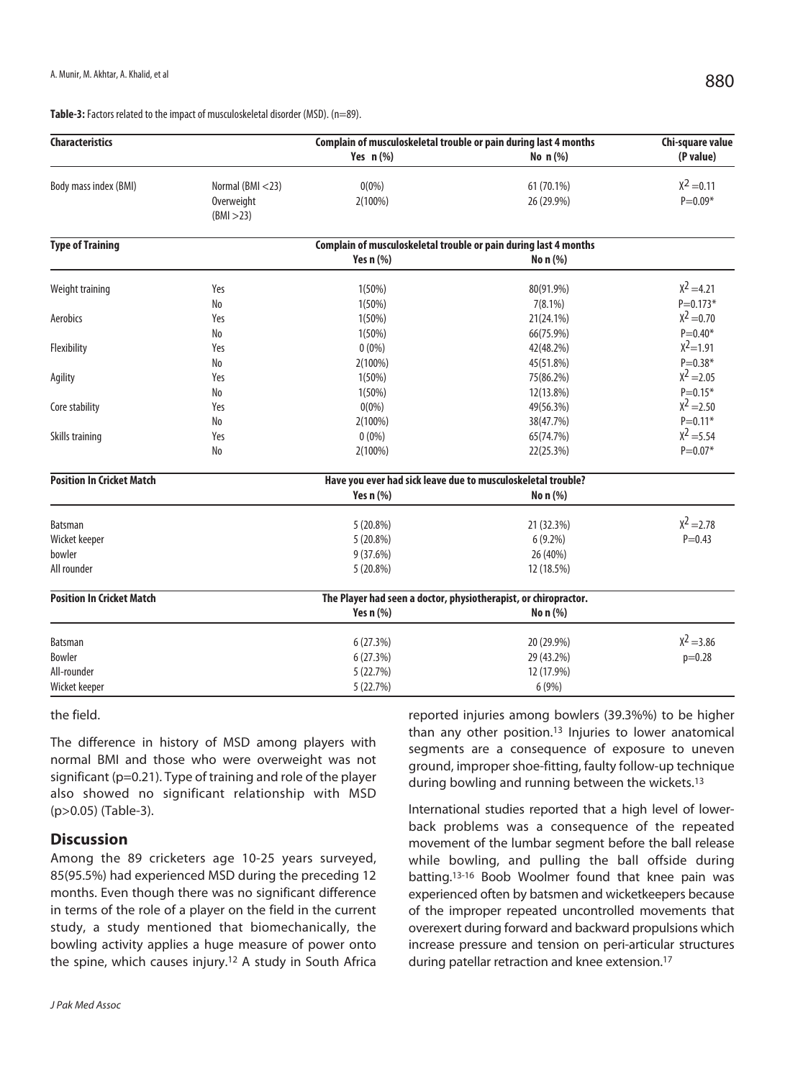Table-3: Factors related to the impact of musculoskeletal disorder (MSD). (n=89).

| <b>Characteristics</b>           |                                              | Complain of musculoskeletal trouble or pain during last 4 months |                          | Chi-square value            |  |
|----------------------------------|----------------------------------------------|------------------------------------------------------------------|--------------------------|-----------------------------|--|
|                                  |                                              | Yes $n$ (%)                                                      | No n (%)                 | (P value)                   |  |
| Body mass index (BMI)            | Normal (BMI <23)<br>Overweight<br>(BMI > 23) | $0(0\%)$<br>2(100%)                                              | 61 (70.1%)<br>26 (29.9%) | $X^2 = 0.11$<br>$P = 0.09*$ |  |
| <b>Type of Training</b>          |                                              | Complain of musculoskeletal trouble or pain during last 4 months |                          |                             |  |
|                                  |                                              | Yes $n$ $%$                                                      | No n (%)                 |                             |  |
| Weight training                  | Yes                                          | 1(50%)                                                           | 80(91.9%)                | $x^2 = 4.21$                |  |
|                                  | No                                           | 1(50%)                                                           | $7(8.1\%)$               | $P = 0.173*$                |  |
| Aerobics                         | Yes                                          | 1(50%)                                                           | 21(24.1%)                | $x^2 = 0.70$                |  |
|                                  | N <sub>o</sub>                               | 1(50%)                                                           | 66(75.9%)                | $P = 0.40*$                 |  |
| Flexibility                      | Yes                                          | $0(0\%)$                                                         | 42(48.2%)                | $x^2 = 1.91$                |  |
|                                  | No                                           | 2(100%)                                                          | 45(51.8%)                | $P = 0.38*$                 |  |
| Agility                          | Yes                                          | $1(50\%)$                                                        | 75(86.2%)                | $x^2 = 2.05$                |  |
|                                  | No                                           | 1(50%)                                                           | 12(13.8%)                | $P = 0.15*$                 |  |
| Core stability                   | Yes                                          | $0(0\%)$                                                         | 49(56.3%)                | $x^2 = 2.50$                |  |
|                                  | No                                           | 2(100%)                                                          | 38(47.7%)                | $P = 0.11*$                 |  |
| Skills training                  | Yes                                          | $0(0\%)$                                                         | 65(74.7%)                | $x^2 = 5.54$                |  |
|                                  | No                                           | $2(100\%)$                                                       | 22(25.3%)                | $P = 0.07*$                 |  |
| <b>Position In Cricket Match</b> |                                              | Have you ever had sick leave due to musculoskeletal trouble?     |                          |                             |  |
|                                  |                                              | Yes $n$ $%$                                                      | No n (%)                 |                             |  |
| Batsman                          |                                              | 5(20.8%)                                                         | 21 (32.3%)               | $x^2 = 2.78$                |  |
| Wicket keeper                    |                                              | 5 (20.8%)                                                        | $6(9.2\%)$               | $P = 0.43$                  |  |
| bowler                           |                                              | 9 (37.6%)                                                        | 26 (40%)                 |                             |  |
| All rounder                      |                                              | 5(20.8%)                                                         | 12 (18.5%)               |                             |  |
| <b>Position In Cricket Match</b> |                                              | The Player had seen a doctor, physiotherapist, or chiropractor.  |                          |                             |  |
|                                  |                                              | Yes n (%)                                                        | No n (%)                 |                             |  |
| <b>Batsman</b>                   |                                              | 6(27.3%)                                                         | 20 (29.9%)               | $X^2 = 3.86$                |  |
| Bowler                           |                                              | 6(27.3%)                                                         | 29 (43.2%)               | $p=0.28$                    |  |
| All-rounder                      |                                              | 5 (22.7%)                                                        | 12 (17.9%)               |                             |  |
| Wicket keeper                    |                                              | 5 (22.7%)                                                        | 6 (9%)                   |                             |  |

#### the field.

The difference in history of MSD among players with normal BMI and those who were overweight was not significant (p=0.21). Type of training and role of the player also showed no significant relationship with MSD (p>0.05) (Table-3).

## **Discussion**

Among the 89 cricketers age 10-25 years surveyed, 85(95.5%) had experienced MSD during the preceding 12 months. Even though there was no significant difference in terms of the role of a player on the field in the current study, a study mentioned that biomechanically, the bowling activity applies a huge measure of power onto the spine, which causes injury.12 A study in South Africa reported injuries among bowlers (39.3%%) to be higher than any other position.13 Injuries to lower anatomical segments are a consequence of exposure to uneven ground, improper shoe-fitting, faulty follow-up technique during bowling and running between the wickets.13

International studies reported that a high level of lowerback problems was a consequence of the repeated movement of the lumbar segment before the ball release while bowling, and pulling the ball offside during batting.13-16 Boob Woolmer found that knee pain was experienced often by batsmen and wicketkeepers because of the improper repeated uncontrolled movements that overexert during forward and backward propulsions which increase pressure and tension on peri-articular structures during patellar retraction and knee extension.17